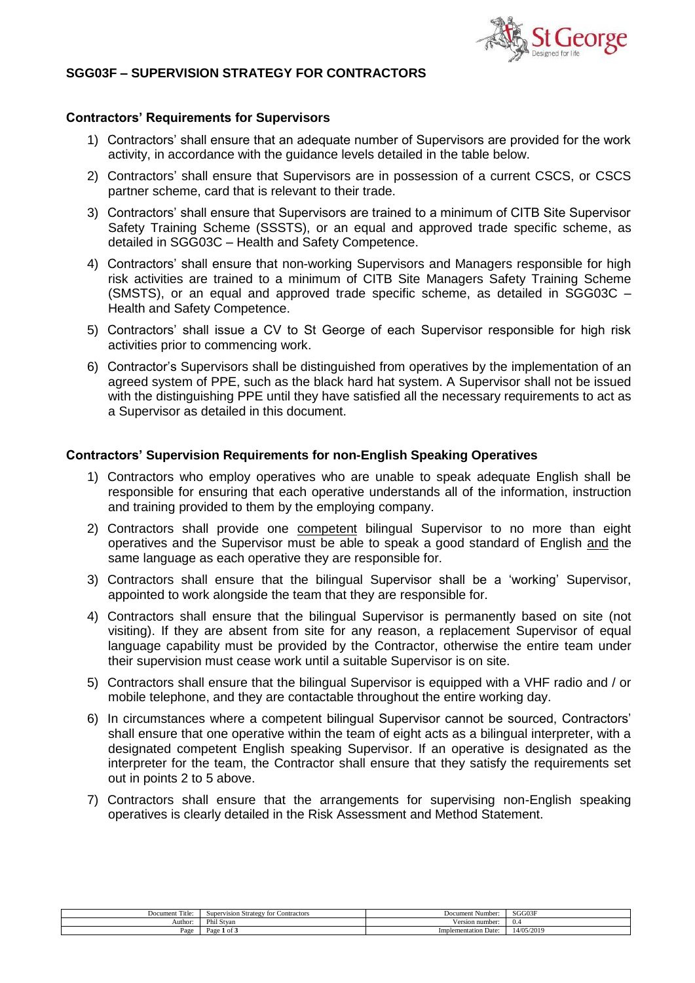

## **SGG03F – SUPERVISION STRATEGY FOR CONTRACTORS**

## **Contractors' Requirements for Supervisors**

- 1) Contractors' shall ensure that an adequate number of Supervisors are provided for the work activity, in accordance with the guidance levels detailed in the table below.
- 2) Contractors' shall ensure that Supervisors are in possession of a current CSCS, or CSCS partner scheme, card that is relevant to their trade.
- 3) Contractors' shall ensure that Supervisors are trained to a minimum of CITB Site Supervisor Safety Training Scheme (SSSTS), or an equal and approved trade specific scheme, as detailed in SGG03C – Health and Safety Competence.
- 4) Contractors' shall ensure that non-working Supervisors and Managers responsible for high risk activities are trained to a minimum of CITB Site Managers Safety Training Scheme (SMSTS), or an equal and approved trade specific scheme, as detailed in SGG03C – Health and Safety Competence.
- 5) Contractors' shall issue a CV to St George of each Supervisor responsible for high risk activities prior to commencing work.
- 6) Contractor's Supervisors shall be distinguished from operatives by the implementation of an agreed system of PPE, such as the black hard hat system. A Supervisor shall not be issued with the distinguishing PPE until they have satisfied all the necessary requirements to act as a Supervisor as detailed in this document.

## **Contractors' Supervision Requirements for non-English Speaking Operatives**

- 1) Contractors who employ operatives who are unable to speak adequate English shall be responsible for ensuring that each operative understands all of the information, instruction and training provided to them by the employing company.
- 2) Contractors shall provide one competent bilingual Supervisor to no more than eight operatives and the Supervisor must be able to speak a good standard of English and the same language as each operative they are responsible for.
- 3) Contractors shall ensure that the bilingual Supervisor shall be a 'working' Supervisor, appointed to work alongside the team that they are responsible for.
- 4) Contractors shall ensure that the bilingual Supervisor is permanently based on site (not visiting). If they are absent from site for any reason, a replacement Supervisor of equal language capability must be provided by the Contractor, otherwise the entire team under their supervision must cease work until a suitable Supervisor is on site.
- 5) Contractors shall ensure that the bilingual Supervisor is equipped with a VHF radio and / or mobile telephone, and they are contactable throughout the entire working day.
- 6) In circumstances where a competent bilingual Supervisor cannot be sourced, Contractors' shall ensure that one operative within the team of eight acts as a bilingual interpreter, with a designated competent English speaking Supervisor. If an operative is designated as the interpreter for the team, the Contractor shall ensure that they satisfy the requirements set out in points 2 to 5 above.
- 7) Contractors shall ensure that the arrangements for supervising non-English speaking operatives is clearly detailed in the Risk Assessment and Method Statement.

| $\sim$<br>Title <sup>-</sup><br>Document | Supervision Strategy for 0<br>: Contractors | Document "<br>Number | SGG03F     |
|------------------------------------------|---------------------------------------------|----------------------|------------|
| Author                                   | Phil Stvan                                  | √ersion number:      | - 11 -     |
| Page                                     | Page<br>1 of 2                              | Implementation Date: | 14/05/2019 |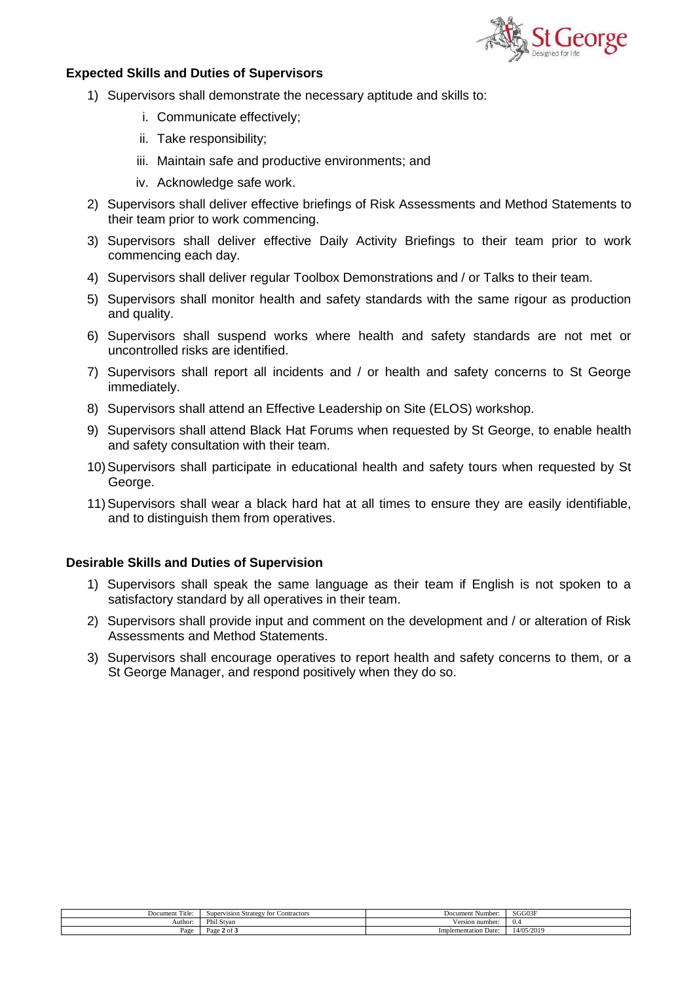

## **Expected Skills and Duties of Supervisors**

- 1) Supervisors shall demonstrate the necessary aptitude and skills to:
	- i. Communicate effectively;
	- ii. Take responsibility;
	- iii. Maintain safe and productive environments; and
	- iv. Acknowledge safe work.
- 2) Supervisors shall deliver effective briefings of Risk Assessments and Method Statements to their team prior to work commencing.
- 3) Supervisors shall deliver effective Daily Activity Briefings to their team prior to work commencing each day.
- 4) Supervisors shall deliver regular Toolbox Demonstrations and / or Talks to their team.
- 5) Supervisors shall monitor health and safety standards with the same rigour as production and quality.
- 6) Supervisors shall suspend works where health and safety standards are not met or uncontrolled risks are identified.
- 7) Supervisors shall report all incidents and / or health and safety concerns to St George immediately.
- 8) Supervisors shall attend an Effective Leadership on Site (ELOS) workshop.
- 9) Supervisors shall attend Black Hat Forums when requested by St George, to enable health and safety consultation with their team.
- 10)Supervisors shall participate in educational health and safety tours when requested by St George.
- 11)Supervisors shall wear a black hard hat at all times to ensure they are easily identifiable, and to distinguish them from operatives.

## **Desirable Skills and Duties of Supervision**

- 1) Supervisors shall speak the same language as their team if English is not spoken to a satisfactory standard by all operatives in their team.
- 2) Supervisors shall provide input and comment on the development and / or alteration of Risk Assessments and Method Statements.
- 3) Supervisors shall encourage operatives to report health and safety concerns to them, or a St George Manager, and respond positively when they do so.

| control.<br>Γitle:<br>Document | Contractors<br>' for<br>Supervision Strategy | . Number<br>Document        | SGG03F     |
|--------------------------------|----------------------------------------------|-----------------------------|------------|
| Author:                        | Phil Stvan                                   | Version number:             | 0.4        |
| Page                           | $\sim$ $\sim$<br>Page<br>$2.4$ of 3          | <b>Implementation Date:</b> | 14/05/2019 |